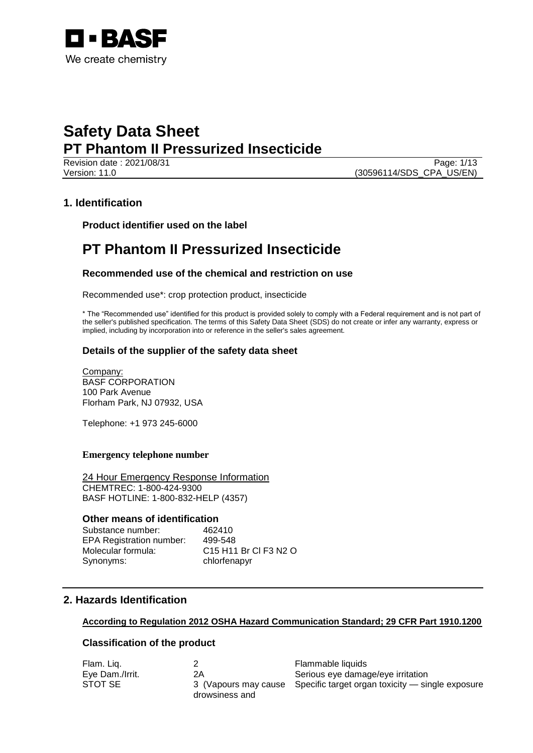

Revision date : 2021/08/31 Page: 1/13 Version: 11.0 (30596114/SDS\_CPA\_US/EN)

# **1. Identification**

**Product identifier used on the label**

# **PT Phantom II Pressurized Insecticide**

## **Recommended use of the chemical and restriction on use**

Recommended use\*: crop protection product, insecticide

\* The "Recommended use" identified for this product is provided solely to comply with a Federal requirement and is not part of the seller's published specification. The terms of this Safety Data Sheet (SDS) do not create or infer any warranty, express or implied, including by incorporation into or reference in the seller's sales agreement.

## **Details of the supplier of the safety data sheet**

Company: BASF CORPORATION 100 Park Avenue Florham Park, NJ 07932, USA

Telephone: +1 973 245-6000

### **Emergency telephone number**

24 Hour Emergency Response Information CHEMTREC: 1-800-424-9300 BASF HOTLINE: 1-800-832-HELP (4357)

## **Other means of identification**

Substance number: 462410 EPA Registration number: 499-548 Molecular formula: C15 H11 Br Cl F3 N2 O Synonyms: chlorfenapyr

# **2. Hazards Identification**

### **According to Regulation 2012 OSHA Hazard Communication Standard; 29 CFR Part 1910.1200**

## **Classification of the product**

| Flam. Lig.      |                | Flammable liquids                                                     |
|-----------------|----------------|-----------------------------------------------------------------------|
| Eye Dam./Irrit. | 2Α             | Serious eye damage/eye irritation                                     |
| STOT SE         | drowsiness and | 3 (Vapours may cause Specific target organ toxicity — single exposure |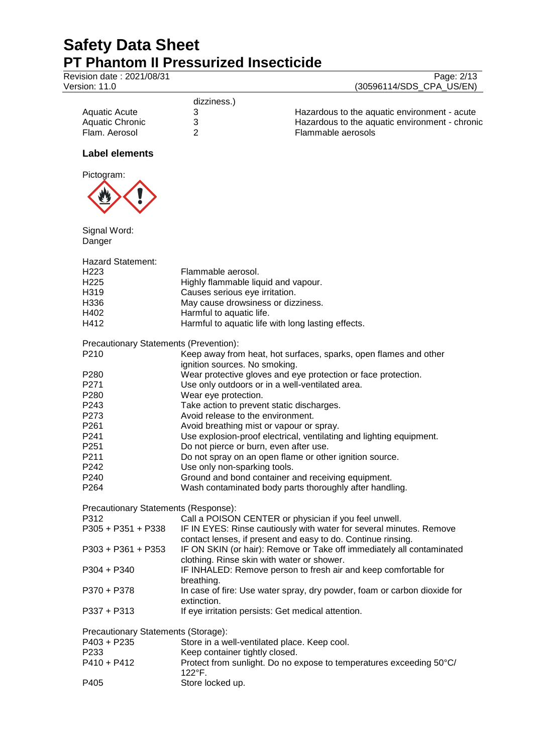122°F.

P405 Store locked up.

Revision date : 2021/08/31 **Version: 11.0** 

|                          | Page: 2/13 |
|--------------------------|------------|
| (30596114/SDS_CPA_US/EN) |            |

|                 | dizziness.) |                                                |
|-----------------|-------------|------------------------------------------------|
| Aquatic Acute   |             | Hazardous to the aquatic environment - acute   |
| Aquatic Chronic |             | Hazardous to the aquatic environment - chronic |
| Flam. Aerosol   |             | Flammable aerosols                             |

## **Label elements**



| Signal Word:                           |                                                                                                                                     |
|----------------------------------------|-------------------------------------------------------------------------------------------------------------------------------------|
| Danger                                 |                                                                                                                                     |
| Hazard Statement:                      |                                                                                                                                     |
| H <sub>223</sub>                       | Flammable aerosol.                                                                                                                  |
| H225                                   | Highly flammable liquid and vapour.                                                                                                 |
| H319                                   | Causes serious eye irritation.                                                                                                      |
| H336                                   | May cause drowsiness or dizziness.                                                                                                  |
| H402                                   | Harmful to aquatic life.                                                                                                            |
| H412                                   | Harmful to aquatic life with long lasting effects.                                                                                  |
| Precautionary Statements (Prevention): |                                                                                                                                     |
| P <sub>210</sub>                       | Keep away from heat, hot surfaces, sparks, open flames and other                                                                    |
|                                        | ignition sources. No smoking.                                                                                                       |
| P <sub>280</sub>                       | Wear protective gloves and eye protection or face protection.                                                                       |
| P271                                   | Use only outdoors or in a well-ventilated area.                                                                                     |
| P280                                   | Wear eye protection.                                                                                                                |
| P <sub>243</sub>                       | Take action to prevent static discharges.                                                                                           |
| P273                                   | Avoid release to the environment.                                                                                                   |
| P <sub>261</sub>                       | Avoid breathing mist or vapour or spray.                                                                                            |
| P <sub>241</sub>                       | Use explosion-proof electrical, ventilating and lighting equipment.                                                                 |
| P251                                   | Do not pierce or burn, even after use.                                                                                              |
| P <sub>211</sub>                       | Do not spray on an open flame or other ignition source.                                                                             |
| P <sub>242</sub>                       | Use only non-sparking tools.                                                                                                        |
| P <sub>240</sub>                       | Ground and bond container and receiving equipment.                                                                                  |
| P <sub>264</sub>                       | Wash contaminated body parts thoroughly after handling.                                                                             |
| Precautionary Statements (Response):   |                                                                                                                                     |
| P312                                   | Call a POISON CENTER or physician if you feel unwell.                                                                               |
| $P305 + P351 + P338$                   | IF IN EYES: Rinse cautiously with water for several minutes. Remove<br>contact lenses, if present and easy to do. Continue rinsing. |
| P303 + P361 + P353                     | IF ON SKIN (or hair): Remove or Take off immediately all contaminated                                                               |
|                                        | clothing. Rinse skin with water or shower.                                                                                          |
| $P304 + P340$                          | IF INHALED: Remove person to fresh air and keep comfortable for<br>breathing.                                                       |
| P370 + P378                            | In case of fire: Use water spray, dry powder, foam or carbon dioxide for<br>extinction.                                             |
| $P337 + P313$                          | If eye irritation persists: Get medical attention.                                                                                  |
| Precautionary Statements (Storage):    |                                                                                                                                     |
| P403 + P235                            | Store in a well-ventilated place. Keep cool.                                                                                        |
| P <sub>233</sub>                       | Keep container tightly closed.                                                                                                      |
| P410 + P412                            | Protect from sunlight. Do no expose to temperatures exceeding 50°C/                                                                 |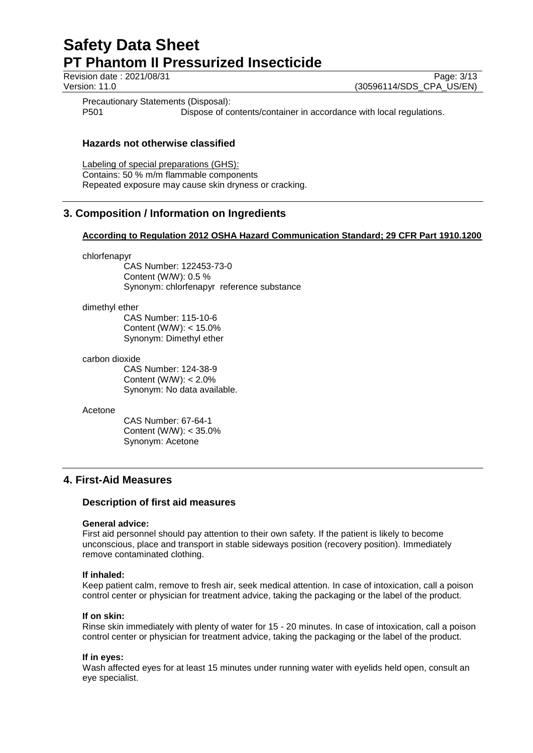Revision date : 2021/08/31 Page: 3/13<br>
Version: 11.0 (30596114/SDS CPA US/EN) (30596114/SDS\_CPA\_US/EN)

Precautionary Statements (Disposal):

P501 Dispose of contents/container in accordance with local regulations.

## **Hazards not otherwise classified**

Labeling of special preparations (GHS): Contains: 50 % m/m flammable components Repeated exposure may cause skin dryness or cracking.

# **3. Composition / Information on Ingredients**

## **According to Regulation 2012 OSHA Hazard Communication Standard; 29 CFR Part 1910.1200**

chlorfenapyr

CAS Number: 122453-73-0 Content (W/W): 0.5 % Synonym: chlorfenapyr reference substance

### dimethyl ether

CAS Number: 115-10-6 Content (W/W): < 15.0% Synonym: Dimethyl ether

### carbon dioxide

CAS Number: 124-38-9 Content (W/W): < 2.0% Synonym: No data available.

#### Acetone

CAS Number: 67-64-1 Content (W/W): < 35.0% Synonym: Acetone

# **4. First-Aid Measures**

## **Description of first aid measures**

### **General advice:**

First aid personnel should pay attention to their own safety. If the patient is likely to become unconscious, place and transport in stable sideways position (recovery position). Immediately remove contaminated clothing.

### **If inhaled:**

Keep patient calm, remove to fresh air, seek medical attention. In case of intoxication, call a poison control center or physician for treatment advice, taking the packaging or the label of the product.

### **If on skin:**

Rinse skin immediately with plenty of water for 15 - 20 minutes. In case of intoxication, call a poison control center or physician for treatment advice, taking the packaging or the label of the product.

### **If in eyes:**

Wash affected eyes for at least 15 minutes under running water with eyelids held open, consult an eye specialist.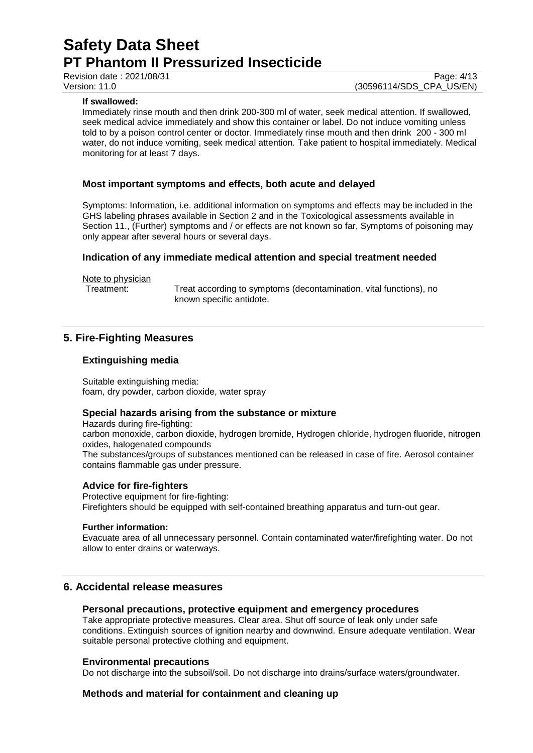### **If swallowed:**

Immediately rinse mouth and then drink 200-300 ml of water, seek medical attention. If swallowed, seek medical advice immediately and show this container or label. Do not induce vomiting unless told to by a poison control center or doctor. Immediately rinse mouth and then drink 200 - 300 ml water, do not induce vomiting, seek medical attention. Take patient to hospital immediately. Medical monitoring for at least 7 days.

## **Most important symptoms and effects, both acute and delayed**

Symptoms: Information, i.e. additional information on symptoms and effects may be included in the GHS labeling phrases available in Section 2 and in the Toxicological assessments available in Section 11., (Further) symptoms and / or effects are not known so far, Symptoms of poisoning may only appear after several hours or several days.

## **Indication of any immediate medical attention and special treatment needed**

Note to physician<br>Treatment:

Treat according to symptoms (decontamination, vital functions), no known specific antidote.

# **5. Fire-Fighting Measures**

## **Extinguishing media**

Suitable extinguishing media: foam, dry powder, carbon dioxide, water spray

## **Special hazards arising from the substance or mixture**

Hazards during fire-fighting: carbon monoxide, carbon dioxide, hydrogen bromide, Hydrogen chloride, hydrogen fluoride, nitrogen oxides, halogenated compounds The substances/groups of substances mentioned can be released in case of fire. Aerosol container contains flammable gas under pressure.

### **Advice for fire-fighters**

Protective equipment for fire-fighting: Firefighters should be equipped with self-contained breathing apparatus and turn-out gear.

### **Further information:**

Evacuate area of all unnecessary personnel. Contain contaminated water/firefighting water. Do not allow to enter drains or waterways.

# **6. Accidental release measures**

## **Personal precautions, protective equipment and emergency procedures**

Take appropriate protective measures. Clear area. Shut off source of leak only under safe conditions. Extinguish sources of ignition nearby and downwind. Ensure adequate ventilation. Wear suitable personal protective clothing and equipment.

## **Environmental precautions**

Do not discharge into the subsoil/soil. Do not discharge into drains/surface waters/groundwater.

## **Methods and material for containment and cleaning up**

Revision date : 2021/08/31 Page: 4/13<br>
Version: 11.0 (30596114/SDS CPA US/EN) (30596114/SDS\_CPA\_US/EN)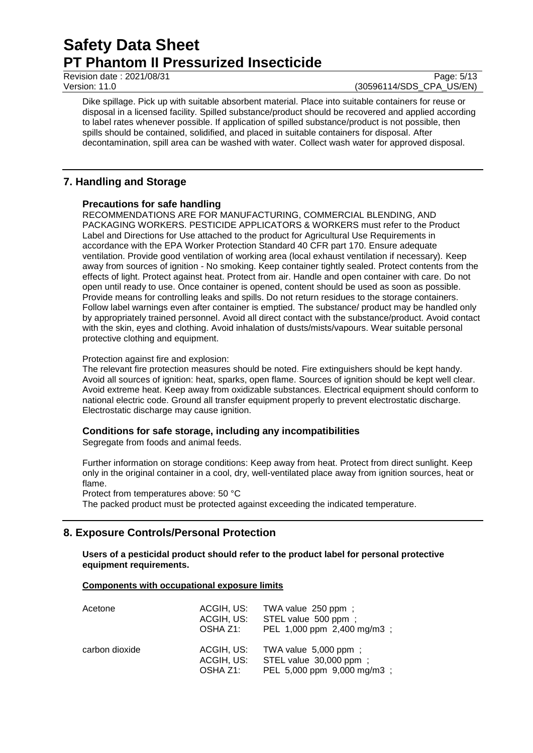### Revision date : 2021/08/31 Page: 5/13<br>
Version: 11.0 (30596114/SDS CPA US/EN) (30596114/SDS\_CPA\_US/EN)

Dike spillage. Pick up with suitable absorbent material. Place into suitable containers for reuse or disposal in a licensed facility. Spilled substance/product should be recovered and applied according to label rates whenever possible. If application of spilled substance/product is not possible, then spills should be contained, solidified, and placed in suitable containers for disposal. After decontamination, spill area can be washed with water. Collect wash water for approved disposal.

# **7. Handling and Storage**

# **Precautions for safe handling**

RECOMMENDATIONS ARE FOR MANUFACTURING, COMMERCIAL BLENDING, AND PACKAGING WORKERS. PESTICIDE APPLICATORS & WORKERS must refer to the Product Label and Directions for Use attached to the product for Agricultural Use Requirements in accordance with the EPA Worker Protection Standard 40 CFR part 170. Ensure adequate ventilation. Provide good ventilation of working area (local exhaust ventilation if necessary). Keep away from sources of ignition - No smoking. Keep container tightly sealed. Protect contents from the effects of light. Protect against heat. Protect from air. Handle and open container with care. Do not open until ready to use. Once container is opened, content should be used as soon as possible. Provide means for controlling leaks and spills. Do not return residues to the storage containers. Follow label warnings even after container is emptied. The substance/ product may be handled only by appropriately trained personnel. Avoid all direct contact with the substance/product. Avoid contact with the skin, eyes and clothing. Avoid inhalation of dusts/mists/vapours. Wear suitable personal protective clothing and equipment.

## Protection against fire and explosion:

The relevant fire protection measures should be noted. Fire extinguishers should be kept handy. Avoid all sources of ignition: heat, sparks, open flame. Sources of ignition should be kept well clear. Avoid extreme heat. Keep away from oxidizable substances. Electrical equipment should conform to national electric code. Ground all transfer equipment properly to prevent electrostatic discharge. Electrostatic discharge may cause ignition.

# **Conditions for safe storage, including any incompatibilities**

Segregate from foods and animal feeds.

Further information on storage conditions: Keep away from heat. Protect from direct sunlight. Keep only in the original container in a cool, dry, well-ventilated place away from ignition sources, heat or flame.

Protect from temperatures above: 50 °C

The packed product must be protected against exceeding the indicated temperature.

# **8. Exposure Controls/Personal Protection**

**Users of a pesticidal product should refer to the product label for personal protective equipment requirements.**

## **Components with occupational exposure limits**

| Acetone        | ACGIH, US:<br>ACGIH, US:<br>OSHA Z1: | TWA value 250 ppm ;<br>STEL value 500 ppm ;<br>PEL 1,000 ppm 2,400 mg/m3 ;    |
|----------------|--------------------------------------|-------------------------------------------------------------------------------|
| carbon dioxide | ACGIH, US:<br>ACGIH, US:<br>OSHA Z1: | TWA value 5,000 ppm;<br>STEL value 30,000 ppm;<br>PEL 5,000 ppm 9,000 mg/m3 ; |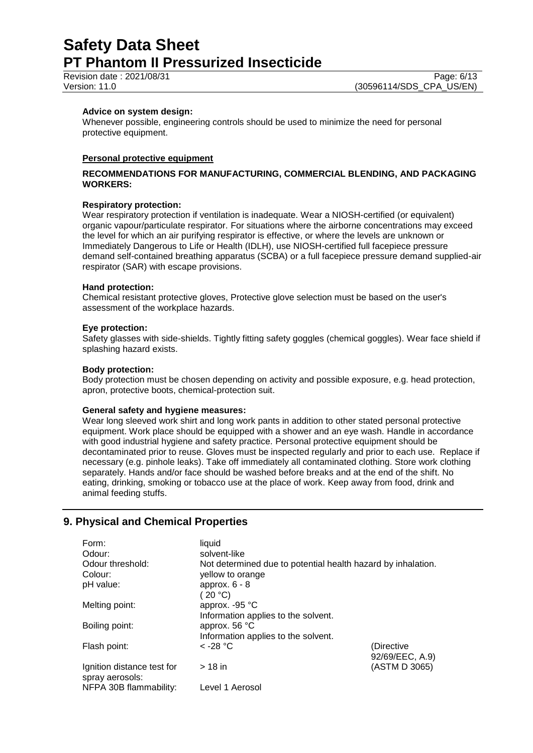Revision date : 2021/08/31 Page: 6/13<br>
Version: 11.0 (30596114/SDS CPA US/EN)

### **Advice on system design:**

Whenever possible, engineering controls should be used to minimize the need for personal protective equipment.

### **Personal protective equipment**

### **RECOMMENDATIONS FOR MANUFACTURING, COMMERCIAL BLENDING, AND PACKAGING WORKERS:**

### **Respiratory protection:**

Wear respiratory protection if ventilation is inadequate. Wear a NIOSH-certified (or equivalent) organic vapour/particulate respirator. For situations where the airborne concentrations may exceed the level for which an air purifying respirator is effective, or where the levels are unknown or Immediately Dangerous to Life or Health (IDLH), use NIOSH-certified full facepiece pressure demand self-contained breathing apparatus (SCBA) or a full facepiece pressure demand supplied-air respirator (SAR) with escape provisions.

### **Hand protection:**

Chemical resistant protective gloves, Protective glove selection must be based on the user's assessment of the workplace hazards.

### **Eye protection:**

Safety glasses with side-shields. Tightly fitting safety goggles (chemical goggles). Wear face shield if splashing hazard exists.

### **Body protection:**

Body protection must be chosen depending on activity and possible exposure, e.g. head protection, apron, protective boots, chemical-protection suit.

### **General safety and hygiene measures:**

Wear long sleeved work shirt and long work pants in addition to other stated personal protective equipment. Work place should be equipped with a shower and an eye wash. Handle in accordance with good industrial hygiene and safety practice. Personal protective equipment should be decontaminated prior to reuse. Gloves must be inspected regularly and prior to each use. Replace if necessary (e.g. pinhole leaks). Take off immediately all contaminated clothing. Store work clothing separately. Hands and/or face should be washed before breaks and at the end of the shift. No eating, drinking, smoking or tobacco use at the place of work. Keep away from food, drink and animal feeding stuffs.

# **9. Physical and Chemical Properties**

| Form:<br>Odour:            | liquid<br>solvent-like                                       |                 |
|----------------------------|--------------------------------------------------------------|-----------------|
| Odour threshold:           | Not determined due to potential health hazard by inhalation. |                 |
| Colour:                    | yellow to orange                                             |                 |
| pH value:                  | approx. $6 - 8$                                              |                 |
|                            | (20 °C)                                                      |                 |
| Melting point:             | approx. $-95$ °C                                             |                 |
|                            | Information applies to the solvent.                          |                 |
| Boiling point:             | approx. 56 °C                                                |                 |
|                            | Information applies to the solvent.                          |                 |
| Flash point:               | $\rm <$ -28 °C                                               | (Directive      |
|                            |                                                              | 92/69/EEC, A.9) |
| Ignition distance test for | $>18$ in                                                     | (ASTM D 3065)   |
| spray aerosols:            |                                                              |                 |
| NFPA 30B flammability:     | Level 1 Aerosol                                              |                 |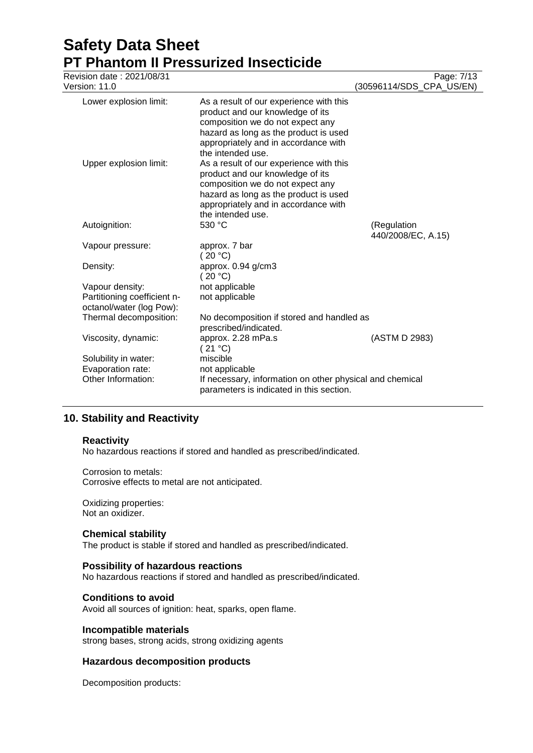| Revision date: 2021/08/31<br>Version: 11.0                                 |                                                                                                                                                                                                                       | Page: 7/13<br>(30596114/SDS CPA US/EN) |
|----------------------------------------------------------------------------|-----------------------------------------------------------------------------------------------------------------------------------------------------------------------------------------------------------------------|----------------------------------------|
| Lower explosion limit:                                                     | As a result of our experience with this<br>product and our knowledge of its<br>composition we do not expect any<br>hazard as long as the product is used<br>appropriately and in accordance with<br>the intended use. |                                        |
| Upper explosion limit:                                                     | As a result of our experience with this<br>product and our knowledge of its<br>composition we do not expect any<br>hazard as long as the product is used<br>appropriately and in accordance with<br>the intended use. |                                        |
| Autoignition:                                                              | 530 °C                                                                                                                                                                                                                | (Regulation                            |
|                                                                            |                                                                                                                                                                                                                       | 440/2008/EC, A.15)                     |
| Vapour pressure:                                                           | approx. 7 bar<br>(20 °C)                                                                                                                                                                                              |                                        |
| Density:                                                                   | approx. 0.94 g/cm3<br>(20 °C)                                                                                                                                                                                         |                                        |
| Vapour density:<br>Partitioning coefficient n-<br>octanol/water (log Pow): | not applicable<br>not applicable                                                                                                                                                                                      |                                        |
| Thermal decomposition:                                                     | No decomposition if stored and handled as<br>prescribed/indicated.                                                                                                                                                    |                                        |
| Viscosity, dynamic:                                                        | approx. 2.28 mPa.s<br>(21 °C)                                                                                                                                                                                         | (ASTM D 2983)                          |
| Solubility in water:                                                       | miscible                                                                                                                                                                                                              |                                        |
| Evaporation rate:                                                          | not applicable                                                                                                                                                                                                        |                                        |
| Other Information:                                                         | If necessary, information on other physical and chemical<br>parameters is indicated in this section.                                                                                                                  |                                        |

# **10. Stability and Reactivity**

## **Reactivity**

No hazardous reactions if stored and handled as prescribed/indicated.

### Corrosion to metals:

Corrosive effects to metal are not anticipated.

Oxidizing properties: Not an oxidizer.

### **Chemical stability**

The product is stable if stored and handled as prescribed/indicated.

## **Possibility of hazardous reactions**

No hazardous reactions if stored and handled as prescribed/indicated.

### **Conditions to avoid**

Avoid all sources of ignition: heat, sparks, open flame.

### **Incompatible materials**

strong bases, strong acids, strong oxidizing agents

### **Hazardous decomposition products**

Decomposition products: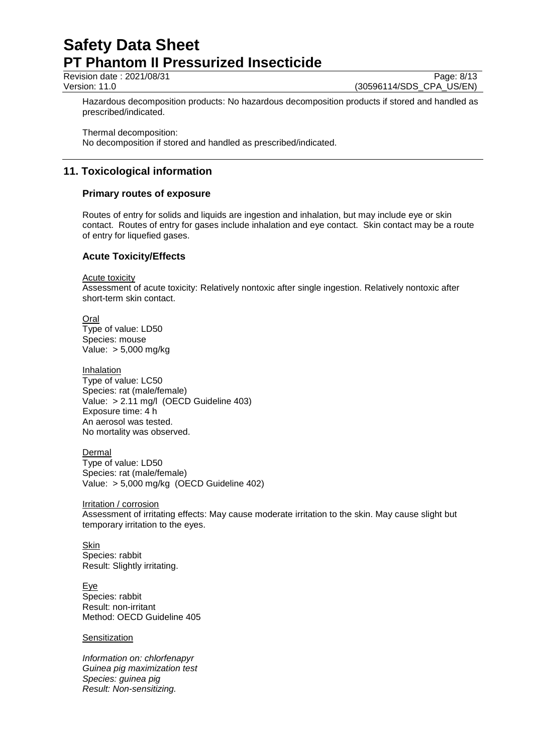Revision date : 2021/08/31 Page: 8/13<br>
Version: 11.0 (30596114/SDS CPA US/EN) (30596114/SDS CPA US/EN)

Hazardous decomposition products: No hazardous decomposition products if stored and handled as prescribed/indicated.

Thermal decomposition: No decomposition if stored and handled as prescribed/indicated.

# **11. Toxicological information**

# **Primary routes of exposure**

Routes of entry for solids and liquids are ingestion and inhalation, but may include eye or skin contact. Routes of entry for gases include inhalation and eye contact. Skin contact may be a route of entry for liquefied gases.

# **Acute Toxicity/Effects**

Acute toxicity

Assessment of acute toxicity: Relatively nontoxic after single ingestion. Relatively nontoxic after short-term skin contact.

Oral Type of value: LD50 Species: mouse Value: > 5,000 mg/kg

Inhalation Type of value: LC50 Species: rat (male/female) Value: > 2.11 mg/l (OECD Guideline 403) Exposure time: 4 h An aerosol was tested. No mortality was observed.

Dermal Type of value: LD50 Species: rat (male/female) Value: > 5,000 mg/kg (OECD Guideline 402)

Irritation / corrosion Assessment of irritating effects: May cause moderate irritation to the skin. May cause slight but temporary irritation to the eyes.

Skin Species: rabbit Result: Slightly irritating.

Eye Species: rabbit Result: non-irritant Method: OECD Guideline 405

**Sensitization** 

*Information on: chlorfenapyr Guinea pig maximization test Species: guinea pig Result: Non-sensitizing.*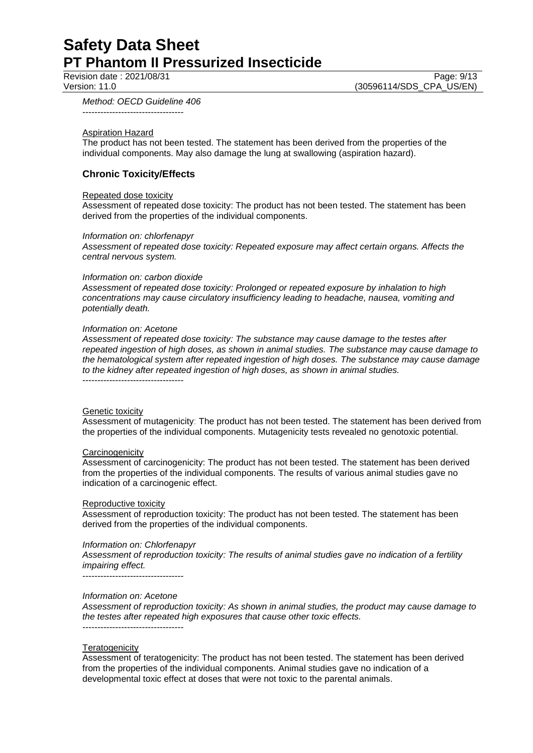Revision date : 2021/08/31 Page: 9/13<br>Version: 11.0 (30596114/SDS CPA US/EN) (30596114/SDS\_CPA\_US/EN)

*Method: OECD Guideline 406*

----------------------------------

#### Aspiration Hazard

The product has not been tested. The statement has been derived from the properties of the individual components. May also damage the lung at swallowing (aspiration hazard).

## **Chronic Toxicity/Effects**

#### Repeated dose toxicity

Assessment of repeated dose toxicity: The product has not been tested. The statement has been derived from the properties of the individual components.

#### *Information on: chlorfenapyr*

*Assessment of repeated dose toxicity: Repeated exposure may affect certain organs. Affects the central nervous system.*

#### *Information on: carbon dioxide*

*Assessment of repeated dose toxicity: Prolonged or repeated exposure by inhalation to high concentrations may cause circulatory insufficiency leading to headache, nausea, vomiting and potentially death.*

#### *Information on: Acetone*

*Assessment of repeated dose toxicity: The substance may cause damage to the testes after repeated ingestion of high doses, as shown in animal studies. The substance may cause damage to the hematological system after repeated ingestion of high doses. The substance may cause damage to the kidney after repeated ingestion of high doses, as shown in animal studies.* ----------------------------------

#### Genetic toxicity

Assessment of mutagenicity: The product has not been tested. The statement has been derived from the properties of the individual components. Mutagenicity tests revealed no genotoxic potential.

#### **Carcinogenicity**

Assessment of carcinogenicity: The product has not been tested. The statement has been derived from the properties of the individual components. The results of various animal studies gave no indication of a carcinogenic effect.

#### Reproductive toxicity

Assessment of reproduction toxicity: The product has not been tested. The statement has been derived from the properties of the individual components.

### *Information on: Chlorfenapyr*

*Assessment of reproduction toxicity: The results of animal studies gave no indication of a fertility impairing effect.*

----------------------------------

### *Information on: Acetone*

*Assessment of reproduction toxicity: As shown in animal studies, the product may cause damage to the testes after repeated high exposures that cause other toxic effects.* ----------------------------------

#### **Teratogenicity**

Assessment of teratogenicity: The product has not been tested. The statement has been derived from the properties of the individual components. Animal studies gave no indication of a developmental toxic effect at doses that were not toxic to the parental animals.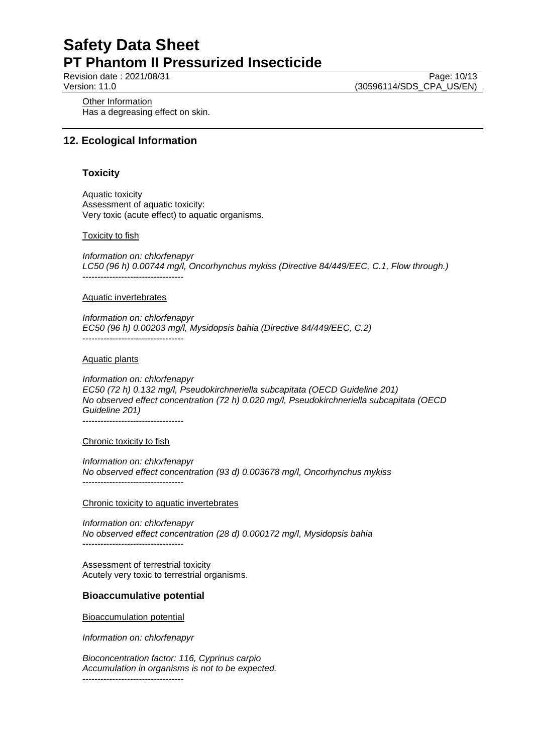Revision date : 2021/08/31 Page: 10/13<br>Version: 11.0 (30596114/SDS CPA US/EN) (30596114/SDS\_CPA\_US/EN)

**Other Information** Has a degreasing effect on skin.

# **12. Ecological Information**

## **Toxicity**

Aquatic toxicity Assessment of aquatic toxicity: Very toxic (acute effect) to aquatic organisms.

### Toxicity to fish

*Information on: chlorfenapyr LC50 (96 h) 0.00744 mg/l, Oncorhynchus mykiss (Directive 84/449/EEC, C.1, Flow through.)* ----------------------------------

#### Aquatic invertebrates

*Information on: chlorfenapyr EC50 (96 h) 0.00203 mg/l, Mysidopsis bahia (Directive 84/449/EEC, C.2)* ----------------------------------

#### Aquatic plants

*Information on: chlorfenapyr EC50 (72 h) 0.132 mg/l, Pseudokirchneriella subcapitata (OECD Guideline 201) No observed effect concentration (72 h) 0.020 mg/l, Pseudokirchneriella subcapitata (OECD Guideline 201)* ----------------------------------

Chronic toxicity to fish

*Information on: chlorfenapyr No observed effect concentration (93 d) 0.003678 mg/l, Oncorhynchus mykiss* ----------------------------------

Chronic toxicity to aquatic invertebrates

*Information on: chlorfenapyr No observed effect concentration (28 d) 0.000172 mg/l, Mysidopsis bahia* ----------------------------------

Assessment of terrestrial toxicity Acutely very toxic to terrestrial organisms.

### **Bioaccumulative potential**

Bioaccumulation potential

*Information on: chlorfenapyr*

*Bioconcentration factor: 116, Cyprinus carpio Accumulation in organisms is not to be expected.* ----------------------------------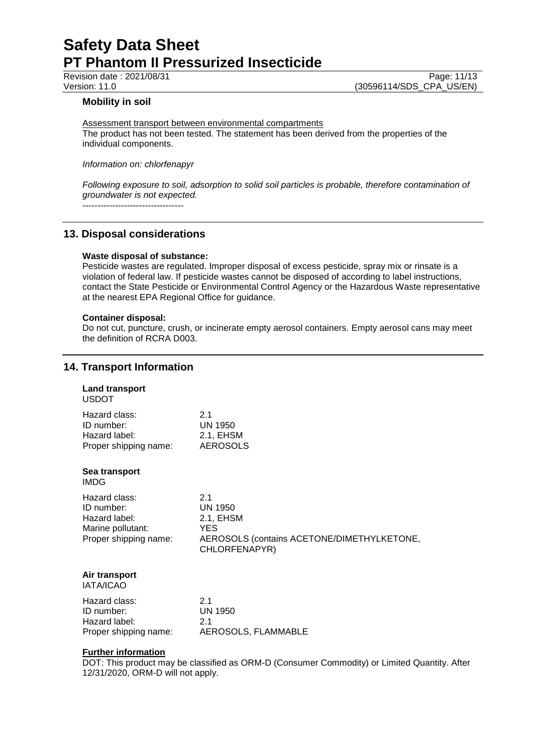### **Mobility in soil**

Assessment transport between environmental compartments The product has not been tested. The statement has been derived from the properties of the

individual components.

*Information on: chlorfenapyr*

*Following exposure to soil, adsorption to solid soil particles is probable, therefore contamination of groundwater is not expected.*

----------------------------------

# **13. Disposal considerations**

## **Waste disposal of substance:**

Pesticide wastes are regulated. Improper disposal of excess pesticide, spray mix or rinsate is a violation of federal law. If pesticide wastes cannot be disposed of according to label instructions, contact the State Pesticide or Environmental Control Agency or the Hazardous Waste representative at the nearest EPA Regional Office for guidance.

### **Container disposal:**

Do not cut, puncture, crush, or incinerate empty aerosol containers. Empty aerosol cans may meet the definition of RCRA D003.

# **14. Transport Information**

| <b>Land transport</b><br><b>USDOT</b>                                                      |                                                                                                           |
|--------------------------------------------------------------------------------------------|-----------------------------------------------------------------------------------------------------------|
| Hazard class:<br>ID number:<br>Hazard label:<br>Proper shipping name:                      | 2.1<br><b>UN 1950</b><br>2.1, EHSM<br><b>AEROSOLS</b>                                                     |
| Sea transport<br>IMDG                                                                      |                                                                                                           |
| Hazard class:<br>ID number:<br>Hazard label:<br>Marine pollutant:<br>Proper shipping name: | 2.1<br><b>UN 1950</b><br>2.1, EHSM<br>YES.<br>AEROSOLS (contains ACETONE/DIMETHYLKETONE,<br>CHLORFENAPYR) |
| Air transport<br><b>IATA/ICAO</b>                                                          |                                                                                                           |
| Hazard class:<br>ID number:<br>Hazard label:<br>Proper shipping name:                      | 2.1<br><b>UN 1950</b><br>2.1<br>AEROSOLS, FLAMMABLE                                                       |

### **Further information**

DOT: This product may be classified as ORM-D (Consumer Commodity) or Limited Quantity. After 12/31/2020, ORM-D will not apply.

Revision date : 2021/08/31 Page: 11/13<br>Version: 11.0 (30596114/SDS CPA US/EN) (30596114/SDS\_CPA\_US/EN)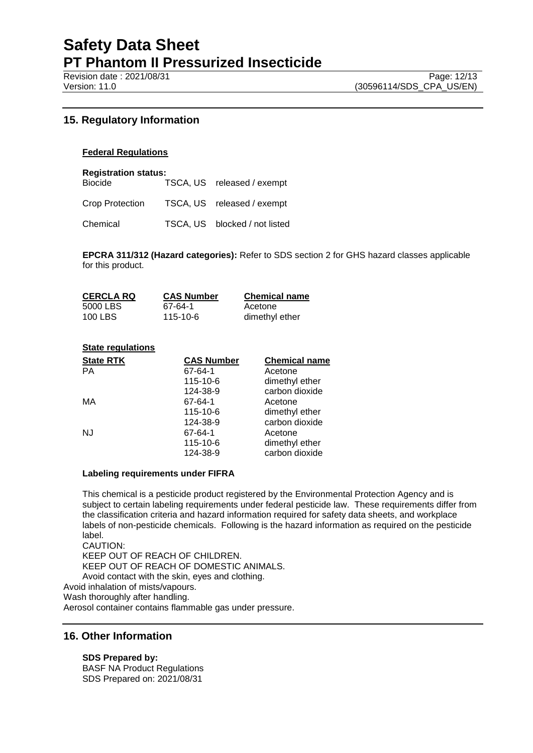# **15. Regulatory Information**

### **Federal Regulations**

**Registration status:**

| <b>Biocide</b>  | TSCA, US released / exempt    |
|-----------------|-------------------------------|
| Crop Protection | TSCA, US released / exempt    |
| Chemical        | TSCA, US blocked / not listed |

**EPCRA 311/312 (Hazard categories):** Refer to SDS section 2 for GHS hazard classes applicable for this product.

| <b>CERCLA RQ</b> | <b>CAS Number</b> | <b>Chemical name</b> |
|------------------|-------------------|----------------------|
| 5000 LBS         | 67-64-1           | Acetone              |
| 100 LBS          | 115-10-6          | dimethyl ether       |

### **State regulations**

| <b>State RTK</b> | <b>CAS Number</b> | <b>Chemical name</b> |
|------------------|-------------------|----------------------|
| <b>PA</b>        | 67-64-1           | Acetone              |
|                  | 115-10-6          | dimethyl ether       |
|                  | 124-38-9          | carbon dioxide       |
| МA               | 67-64-1           | Acetone              |
|                  | 115-10-6          | dimethyl ether       |
|                  | 124-38-9          | carbon dioxide       |
| NJ               | 67-64-1           | Acetone              |
|                  | 115-10-6          | dimethyl ether       |
|                  | 124-38-9          | carbon dioxide       |

### **Labeling requirements under FIFRA**

This chemical is a pesticide product registered by the Environmental Protection Agency and is subject to certain labeling requirements under federal pesticide law. These requirements differ from the classification criteria and hazard information required for safety data sheets, and workplace labels of non-pesticide chemicals. Following is the hazard information as required on the pesticide label.

CAUTION: KEEP OUT OF REACH OF CHILDREN. KEEP OUT OF REACH OF DOMESTIC ANIMALS. Avoid contact with the skin, eyes and clothing. Avoid inhalation of mists/vapours. Wash thoroughly after handling. Aerosol container contains flammable gas under pressure.

# **16. Other Information**

# **SDS Prepared by:**

BASF NA Product Regulations SDS Prepared on: 2021/08/31